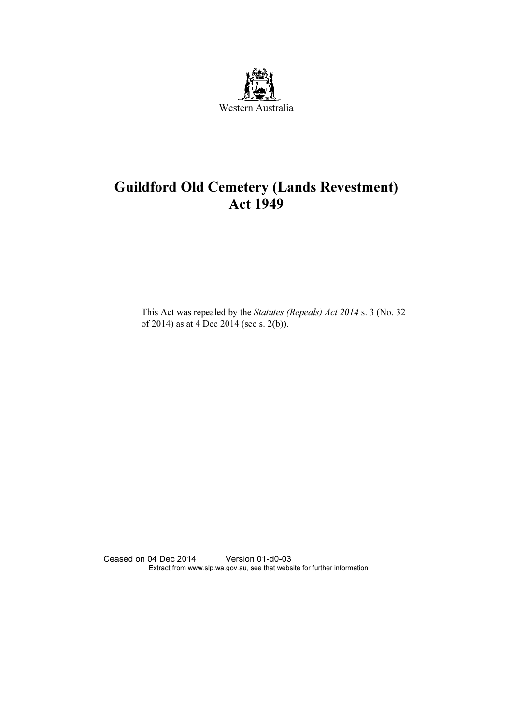

# Guildford Old Cemetery (Lands Revestment) Act 1949

 This Act was repealed by the Statutes (Repeals) Act 2014 s. 3 (No. 32 of 2014) as at 4 Dec 2014 (see s. 2(b)).

Ceased on 04 Dec 2014 Version 01-d0-03 Extract from www.slp.wa.gov.au, see that website for further information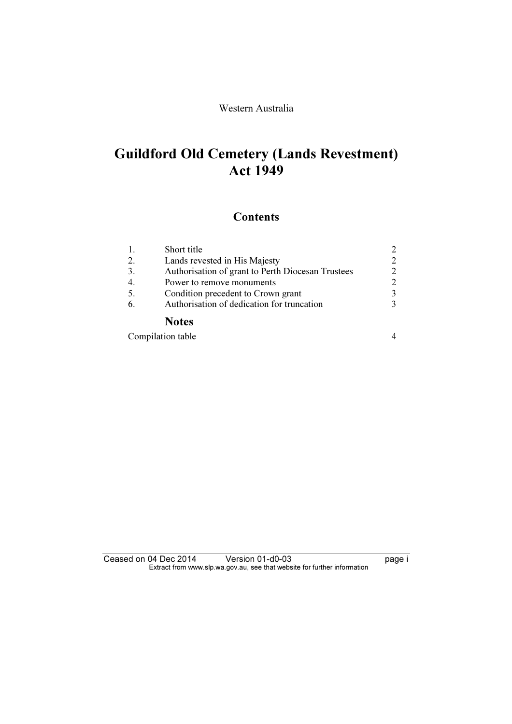## Western Australia

# Guildford Old Cemetery (Lands Revestment) Act 1949

## **Contents**

|     | Short title                                       | 2                           |
|-----|---------------------------------------------------|-----------------------------|
| 2.  | Lands revested in His Majesty                     | $\mathcal{D}_{\mathcal{A}}$ |
| 3.  | Authorisation of grant to Perth Diocesan Trustees | $\mathcal{D}_{\mathcal{L}}$ |
|     | Power to remove monuments                         | $\mathcal{D}_{\mathcal{L}}$ |
| 5.  | Condition precedent to Crown grant                | 3                           |
| -6. | Authorisation of dedication for truncation        | $\mathcal{R}$               |
|     | <b>Notes</b>                                      |                             |

| Compilation table |  |
|-------------------|--|
|-------------------|--|

Ceased on 04 Dec 2014 Version 01-d0-03 page i Extract from www.slp.wa.gov.au, see that website for further information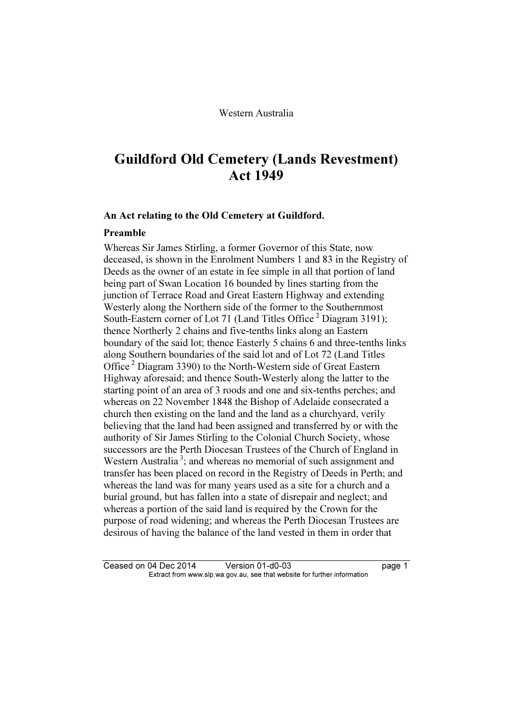# Guildford Old Cemetery (Lands Revestment) Act 1949

#### An Act relating to the Old Cemetery at Guildford.

#### Preamble

Whereas Sir James Stirling, a former Governor of this State, now deceased, is shown in the Enrolment Numbers 1 and 83 in the Registry of Deeds as the owner of an estate in fee simple in all that portion of land being part of Swan Location 16 bounded by lines starting from the junction of Terrace Road and Great Eastern Highway and extending Westerly along the Northern side of the former to the Southernmost South-Eastern corner of Lot 71 (Land Titles Office<sup>2</sup> Diagram 3191); thence Northerly 2 chains and five-tenths links along an Eastern boundary of the said lot; thence Easterly 5 chains 6 and three-tenths links along Southern boundaries of the said lot and of Lot 72 (Land Titles Office<sup>2</sup> Diagram 3390) to the North-Western side of Great Eastern Highway aforesaid; and thence South-Westerly along the latter to the starting point of an area of 3 roods and one and six-tenths perches; and whereas on 22 November 1848 the Bishop of Adelaide consecrated a church then existing on the land and the land as a churchyard, verily believing that the land had been assigned and transferred by or with the authority of Sir James Stirling to the Colonial Church Society, whose successors are the Perth Diocesan Trustees of the Church of England in Western Australia<sup>3</sup>; and whereas no memorial of such assignment and transfer has been placed on record in the Registry of Deeds in Perth; and whereas the land was for many years used as a site for a church and a burial ground, but has fallen into a state of disrepair and neglect; and whereas a portion of the said land is required by the Crown for the purpose of road widening; and whereas the Perth Diocesan Trustees are desirous of having the balance of the land vested in them in order that

Ceased on 04 Dec 2014 Version 01-d0-03 page 1<br>Extract from www.slp.wa.gov.au, see that website for further information  $\mathbf{F}$  from which was the set that we besite for further information  $\mathbf{F}$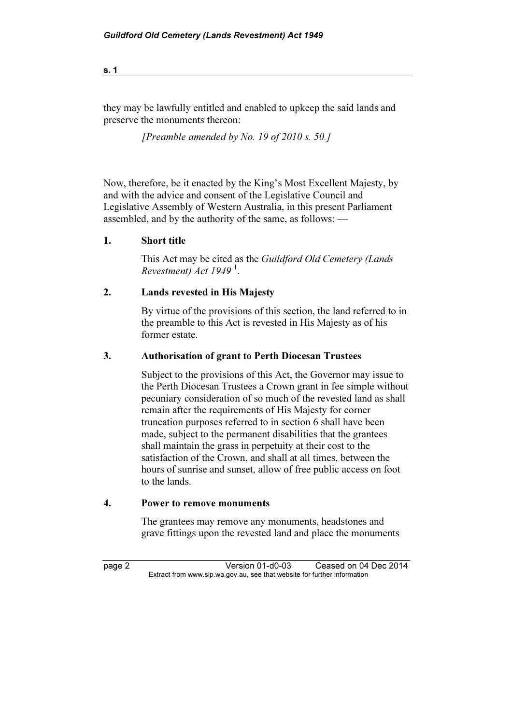they may be lawfully entitled and enabled to upkeep the said lands and preserve the monuments thereon:

[Preamble amended by No. 19 of 2010 s. 50.]

Now, therefore, be it enacted by the King's Most Excellent Majesty, by and with the advice and consent of the Legislative Council and Legislative Assembly of Western Australia, in this present Parliament assembled, and by the authority of the same, as follows: —

### 1. Short title

 This Act may be cited as the Guildford Old Cemetery (Lands Revestment) Act  $1949<sup>1</sup>$ .

### 2. Lands revested in His Majesty

 By virtue of the provisions of this section, the land referred to in the preamble to this Act is revested in His Majesty as of his former estate.

### 3. Authorisation of grant to Perth Diocesan Trustees

 Subject to the provisions of this Act, the Governor may issue to the Perth Diocesan Trustees a Crown grant in fee simple without pecuniary consideration of so much of the revested land as shall remain after the requirements of His Majesty for corner truncation purposes referred to in section 6 shall have been made, subject to the permanent disabilities that the grantees shall maintain the grass in perpetuity at their cost to the satisfaction of the Crown, and shall at all times, between the hours of sunrise and sunset, allow of free public access on foot to the lands.

## 4. Power to remove monuments

 The grantees may remove any monuments, headstones and grave fittings upon the revested land and place the monuments

page 2 Version 01-d0-03 Ceased on 04 Dec 2014<br>Extract from www.slp.wa.gov.au, see that website for further information  $\mathbf{F}$  from which was the set that we besite for further information  $\mathbf{F}$ 

s. 1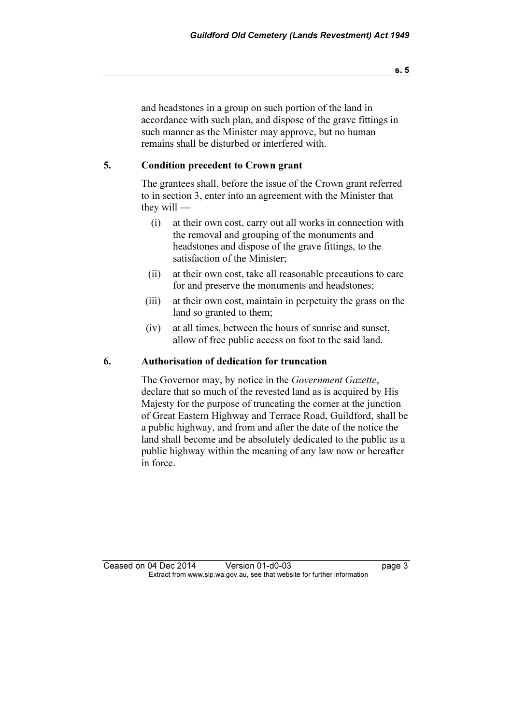and headstones in a group on such portion of the land in accordance with such plan, and dispose of the grave fittings in such manner as the Minister may approve, but no human remains shall be disturbed or interfered with.

### 5. Condition precedent to Crown grant

 The grantees shall, before the issue of the Crown grant referred to in section 3, enter into an agreement with the Minister that they will —

- (i) at their own cost, carry out all works in connection with the removal and grouping of the monuments and headstones and dispose of the grave fittings, to the satisfaction of the Minister;
- (ii) at their own cost, take all reasonable precautions to care for and preserve the monuments and headstones;
- (iii) at their own cost, maintain in perpetuity the grass on the land so granted to them;
- (iv) at all times, between the hours of sunrise and sunset, allow of free public access on foot to the said land.

#### 6. Authorisation of dedication for truncation

 The Governor may, by notice in the Government Gazette, declare that so much of the revested land as is acquired by His Majesty for the purpose of truncating the corner at the junction of Great Eastern Highway and Terrace Road, Guildford, shall be a public highway, and from and after the date of the notice the land shall become and be absolutely dedicated to the public as a public highway within the meaning of any law now or hereafter in force.

Ceased on 04 Dec 2014 Version 01-d0-03 page 3<br>Extract from www.slp.wa.gov.au, see that website for further information  $\mathbf{F}$  from which was the set that we besite for further information  $\mathbf{F}$ 

s. 5